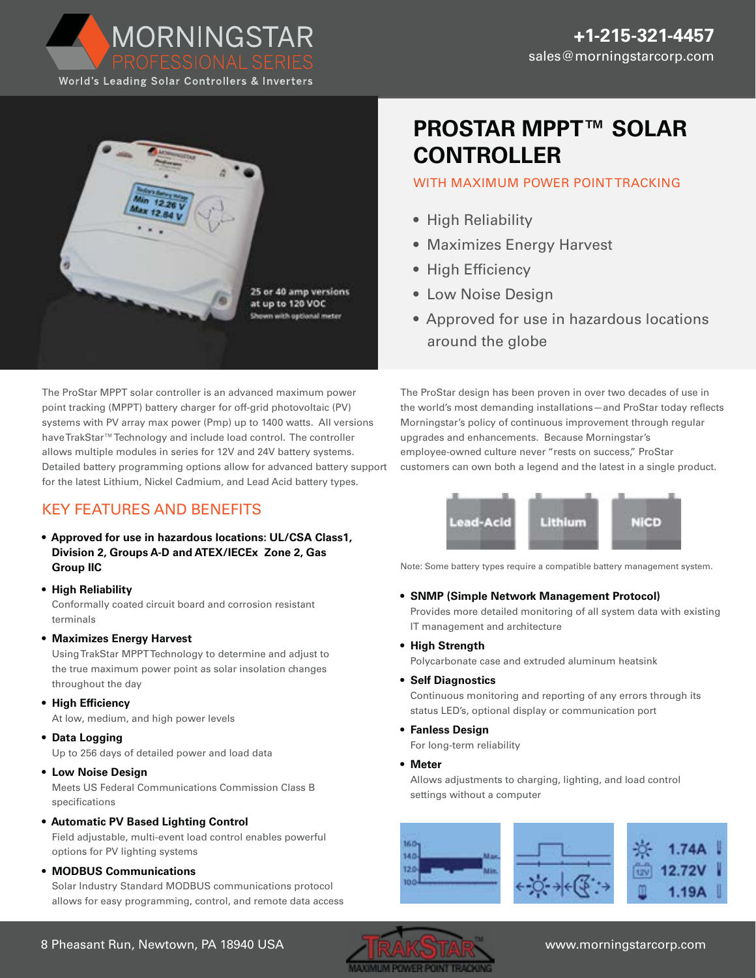World's Leading Solar Controllers & Inverters

MORNINGSTAR



## **PROSTAR MPPT™ SOLAR CONTROLLER**

#### WITH MAXIMUM POWER POINT TRACKING

- High Reliability
- Maximizes Energy Harvest
- High Efficiency
- Low Noise Design
- Approved for use in hazardous locations around the globe

The ProStar MPPT solar controller is an advanced maximum power point tracking (MPPT) battery charger for off-grid photovoltaic (PV) systems with PV array max power (Pmp) up to 1400 watts. All versions have TrakStar™Technology and include load control. The controller allows multiple modules in series for 12V and 24V battery systems. Detailed battery programming options allow for advanced battery support for the latest Lithium, Nickel Cadmium, and Lead Acid battery types.

### KEY FEATURES AND BENEFITS

- **Approved for use in hazardous locations: UL/CSA Class1, Division 2, Groups A-D and ATEX/IECEx Zone 2, Gas Group IIC**
- **• High Reliability** Conformally coated circuit board and corrosion resistant terminals
- **Maximizes Energy Harvest**

Using TrakStar MPPT Technology to determine and adjust to the true maximum power point as solar insolation changes throughout the day

**• High Efficiency**

At low, medium, and high power levels

**• Data Logging**

Up to 256 days of detailed power and load data

**• Low Noise Design**

Meets US Federal Communications Commission Class B specifications

- **Automatic PV Based Lighting Control** Field adjustable, multi-event load control enables powerful options for PV lighting systems
- **MODBUS Communications**

Solar Industry Standard MODBUS communications protocol allows for easy programming, control, and remote data access The ProStar design has been proven in over two decades of use in the world's most demanding installations—and ProStar today reflects Morningstar's policy of continuous improvement through regular upgrades and enhancements. Because Morningstar's employee-owned culture never "rests on success," ProStar customers can own both a legend and the latest in a single product.



Note: Some battery types require a compatible battery management system.

**• SNMP (Simple Network Management Protocol)**

Provides more detailed monitoring of all system data with existing IT management and architecture

**• High Strength**

Polycarbonate case and extruded aluminum heatsink

**• Self Diagnostics**

Continuous monitoring and reporting of any errors through its status LED's, optional display or communication port

- **Fanless Design** For long-term reliability
- **Meter**

Allows adjustments to charging, lighting, and load control settings without a computer